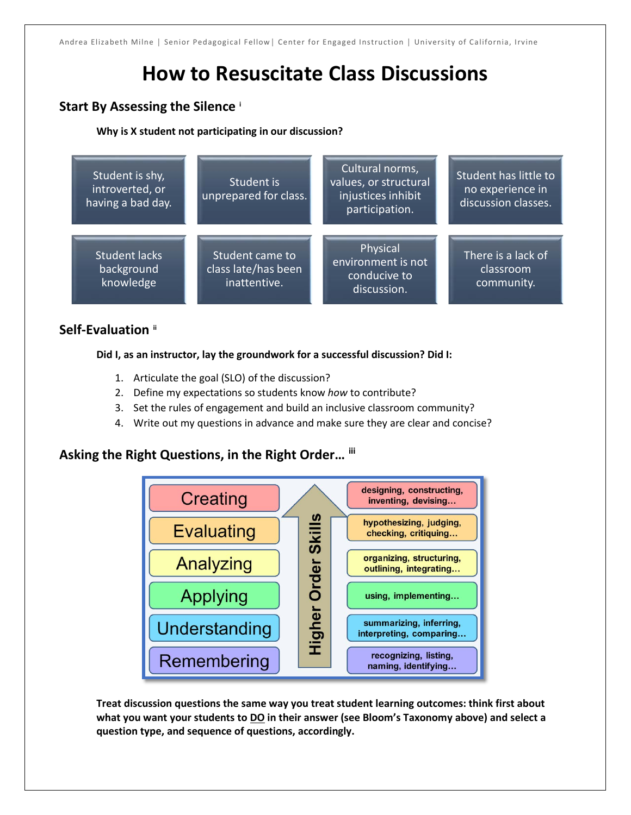# **How to Resuscitate Class Discussions**

# **Start By Assessing the Silence [i](#page-2-0)**

## **Why is X student not participating in our discussion?**



# **Self-Evaluation [ii](#page-2-1)**

**Did I, as an instructor, lay the groundwork for a successful discussion? Did I:**

- 1. Articulate the goal (SLO) of the discussion?
- 2. Define my expectations so students know *how* to contribute?
- 3. Set the rules of engagement and build an inclusive classroom community?
- 4. Write out my questions in advance and make sure they are clear and concise?

# **Asking the Right Questions, in the Right Order… [iii](#page-2-2)**



**Treat discussion questions the same way you treat student learning outcomes: think first about what you want your students to DO in their answer (see Bloom's Taxonomy above) and select a question type, and sequence of questions, accordingly.**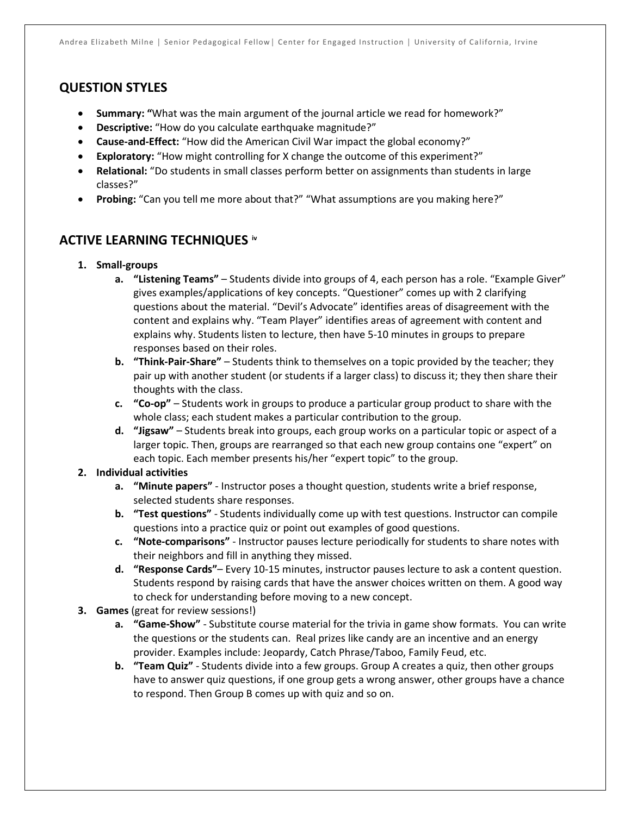# **QUESTION STYLES**

- **Summary: "**What was the main argument of the journal article we read for homework?"
- **Descriptive:** "How do you calculate earthquake magnitude?"
- **Cause-and-Effect:** "How did the American Civil War impact the global economy?"
- **Exploratory:** "How might controlling for X change the outcome of this experiment?"
- **Relational:** "Do students in small classes perform better on assignments than students in large classes?"
- **Probing:** "Can you tell me more about that?" "What assumptions are you making here?"

## **ACTIVE LEARNING TECHNIQUES [iv](#page-2-3)**

- **1. Small-groups**
	- **a. "Listening Teams"**  Students divide into groups of 4, each person has a role. "Example Giver" gives examples/applications of key concepts. "Questioner" comes up with 2 clarifying questions about the material. "Devil's Advocate" identifies areas of disagreement with the content and explains why. "Team Player" identifies areas of agreement with content and explains why. Students listen to lecture, then have 5-10 minutes in groups to prepare responses based on their roles.
	- **b. "Think-Pair-Share"** Students think to themselves on a topic provided by the teacher; they pair up with another student (or students if a larger class) to discuss it; they then share their thoughts with the class.
	- **c. "Co-op"** Students work in groups to produce a particular group product to share with the whole class; each student makes a particular contribution to the group.
	- **d. "Jigsaw"** Students break into groups, each group works on a particular topic or aspect of a larger topic. Then, groups are rearranged so that each new group contains one "expert" on each topic. Each member presents his/her "expert topic" to the group.

## **2. Individual activities**

- **a. "Minute papers"** Instructor poses a thought question, students write a brief response, selected students share responses.
- **b. "Test questions"** Students individually come up with test questions. Instructor can compile questions into a practice quiz or point out examples of good questions.
- **c. "Note-comparisons"** Instructor pauses lecture periodically for students to share notes with their neighbors and fill in anything they missed.
- **d. "Response Cards"** Every 10-15 minutes, instructor pauses lecture to ask a content question. Students respond by raising cards that have the answer choices written on them. A good way to check for understanding before moving to a new concept.
- **3. Games** (great for review sessions!)
	- **a. "Game-Show"**  Substitute course material for the trivia in game show formats. You can write the questions or the students can. Real prizes like candy are an incentive and an energy provider. Examples include: Jeopardy, Catch Phrase/Taboo, Family Feud, etc.
	- **b. "Team Quiz"** Students divide into a few groups. Group A creates a quiz, then other groups have to answer quiz questions, if one group gets a wrong answer, other groups have a chance to respond. Then Group B comes up with quiz and so on.